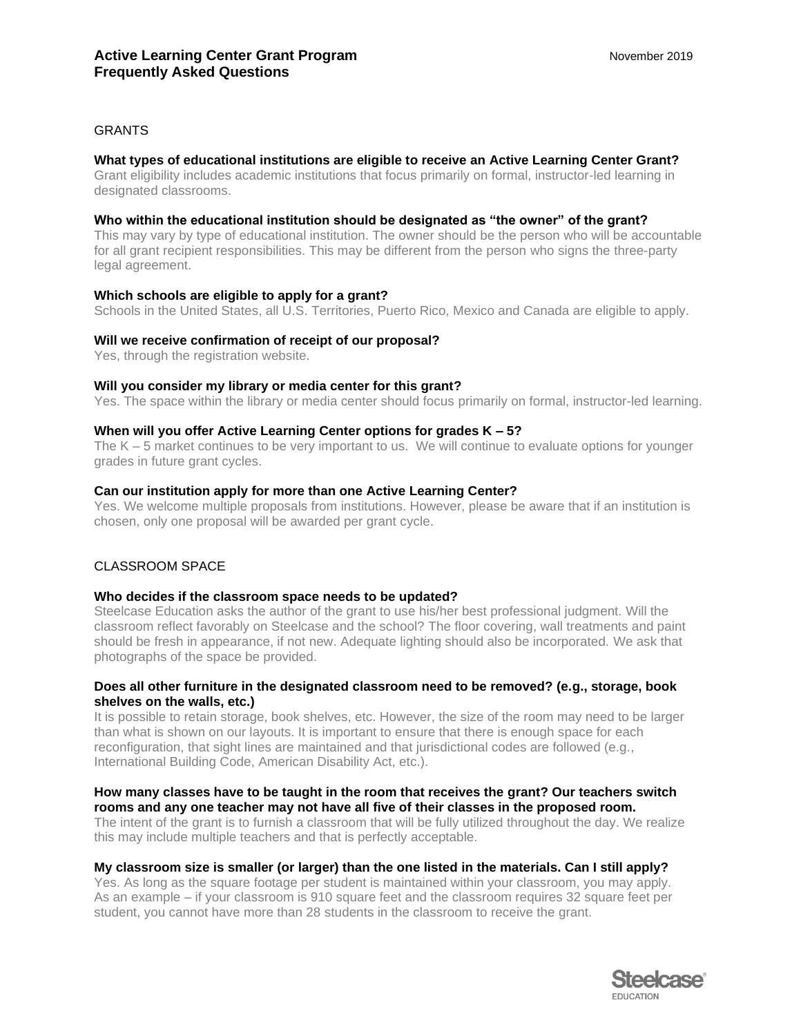# **GRANTS**

# **What types of educational institutions are eligible to receive an Active Learning Center Grant?**

Grant eligibility includes academic institutions that focus primarily on formal, instructor-led learning in designated classrooms.

### **Who within the educational institution should be designated as "the owner" of the grant?**

This may vary by type of educational institution. The owner should be the person who will be accountable for all grant recipient responsibilities. This may be different from the person who signs the three-party legal agreement.

## **Which schools are eligible to apply for a grant?**

Schools in the United States, all U.S. Territories, Puerto Rico, Mexico and Canada are eligible to apply.

#### **Will we receive confirmation of receipt of our proposal?**

Yes, through the registration website.

## **Will you consider my library or media center for this grant?**

Yes. The space within the library or media center should focus primarily on formal, instructor-led learning.

## **When will you offer Active Learning Center options for grades K – 5?**

The K – 5 market continues to be very important to us. We will continue to evaluate options for younger grades in future grant cycles.

## **Can our institution apply for more than one Active Learning Center?**

Yes. We welcome multiple proposals from institutions. However, please be aware that if an institution is chosen, only one proposal will be awarded per grant cycle.

## CLASSROOM SPACE

#### **Who decides if the classroom space needs to be updated?**

Steelcase Education asks the author of the grant to use his/her best professional judgment. Will the classroom reflect favorably on Steelcase and the school? The floor covering, wall treatments and paint should be fresh in appearance, if not new. Adequate lighting should also be incorporated. We ask that photographs of the space be provided.

## **Does all other furniture in the designated classroom need to be removed? (e.g., storage, book shelves on the walls, etc.)**

It is possible to retain storage, book shelves, etc. However, the size of the room may need to be larger than what is shown on our layouts. It is important to ensure that there is enough space for each reconfiguration, that sight lines are maintained and that jurisdictional codes are followed (e.g., International Building Code, American Disability Act, etc.).

# **How many classes have to be taught in the room that receives the grant? Our teachers switch rooms and any one teacher may not have all five of their classes in the proposed room.**

The intent of the grant is to furnish a classroom that will be fully utilized throughout the day. We realize this may include multiple teachers and that is perfectly acceptable.

## **My classroom size is smaller (or larger) than the one listed in the materials. Can I still apply?**

Yes. As long as the square footage per student is maintained within your classroom, you may apply. As an example – if your classroom is 910 square feet and the classroom requires 32 square feet per student, you cannot have more than 28 students in the classroom to receive the grant.